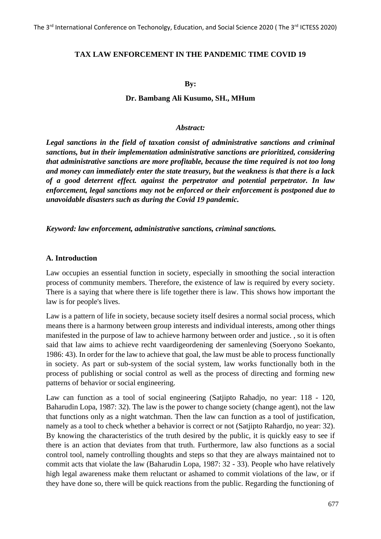#### **TAX LAW ENFORCEMENT IN THE PANDEMIC TIME COVID 19**

**By:**

#### **Dr. Bambang Ali Kusumo, SH., MHum**

#### *Abstract:*

*Legal sanctions in the field of taxation consist of administrative sanctions and criminal sanctions, but in their implementation administrative sanctions are prioritized, considering that administrative sanctions are more profitable, because the time required is not too long and money can immediately enter the state treasury, but the weakness is that there is a lack of a good deterrent effect. against the perpetrator and potential perpetrator. In law enforcement, legal sanctions may not be enforced or their enforcement is postponed due to unavoidable disasters such as during the Covid 19 pandemic.*

*Keyword: law enforcement, administrative sanctions, criminal sanctions.*

#### **A. Introduction**

Law occupies an essential function in society, especially in smoothing the social interaction process of community members. Therefore, the existence of law is required by every society. There is a saying that where there is life together there is law. This shows how important the law is for people's lives.

Law is a pattern of life in society, because society itself desires a normal social process, which means there is a harmony between group interests and individual interests, among other things manifested in the purpose of law to achieve harmony between order and justice. , so it is often said that law aims to achieve recht vaardigeordening der samenleving (Soeryono Soekanto, 1986: 43). In order for the law to achieve that goal, the law must be able to process functionally in society. As part or sub-system of the social system, law works functionally both in the process of publishing or social control as well as the process of directing and forming new patterns of behavior or social engineering.

Law can function as a tool of social engineering (Satjipto Rahadjo, no year: 118 - 120, Baharudin Lopa, 1987: 32). The law is the power to change society (change agent), not the law that functions only as a night watchman. Then the law can function as a tool of justification, namely as a tool to check whether a behavior is correct or not (Satjipto Rahardjo, no year: 32). By knowing the characteristics of the truth desired by the public, it is quickly easy to see if there is an action that deviates from that truth. Furthermore, law also functions as a social control tool, namely controlling thoughts and steps so that they are always maintained not to commit acts that violate the law (Baharudin Lopa, 1987: 32 - 33). People who have relatively high legal awareness make them reluctant or ashamed to commit violations of the law, or if they have done so, there will be quick reactions from the public. Regarding the functioning of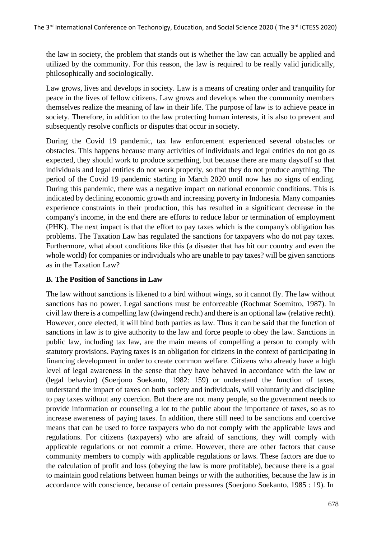the law in society, the problem that stands out is whether the law can actually be applied and utilized by the community. For this reason, the law is required to be really valid juridically, philosophically and sociologically.

Law grows, lives and develops in society. Law is a means of creating order and tranquility for peace in the lives of fellow citizens. Law grows and develops when the community members themselves realize the meaning of law in their life. The purpose of law is to achieve peace in society. Therefore, in addition to the law protecting human interests, it is also to prevent and subsequently resolve conflicts or disputes that occur in society.

During the Covid 19 pandemic, tax law enforcement experienced several obstacles or obstacles. This happens because many activities of individuals and legal entities do not go as expected, they should work to produce something, but because there are many daysoff so that individuals and legal entities do not work properly, so that they do not produce anything. The period of the Covid 19 pandemic starting in March 2020 until now has no signs of ending. During this pandemic, there was a negative impact on national economic conditions. This is indicated by declining economic growth and increasing poverty in Indonesia. Many companies experience constraints in their production, this has resulted in a significant decrease in the company's income, in the end there are efforts to reduce labor or termination of employment (PHK). The next impact is that the effort to pay taxes which is the company's obligation has problems. The Taxation Law has regulated the sanctions for taxpayers who do not pay taxes. Furthermore, what about conditions like this (a disaster that has hit our country and even the whole world) for companies or individuals who are unable to pay taxes? will be given sanctions as in the Taxation Law?

# **B. The Position of Sanctions in Law**

The law without sanctions is likened to a bird without wings, so it cannot fly. The law without sanctions has no power. Legal sanctions must be enforceable (Rochmat Soemitro, 1987). In civil law there is a compelling law (dwingend recht) and there is an optional law (relative recht). However, once elected, it will bind both parties as law. Thus it can be said that the function of sanctions in law is to give authority to the law and force people to obey the law. Sanctions in public law, including tax law, are the main means of compelling a person to comply with statutory provisions. Paying taxes is an obligation for citizens in the context of participating in financing development in order to create common welfare. Citizens who already have a high level of legal awareness in the sense that they have behaved in accordance with the law or (legal behavior) (Soerjono Soekanto, 1982: 159) or understand the function of taxes, understand the impact of taxes on both society and individuals, will voluntarily and discipline to pay taxes without any coercion. But there are not many people, so the government needs to provide information or counseling a lot to the public about the importance of taxes, so as to increase awareness of paying taxes. In addition, there still need to be sanctions and coercive means that can be used to force taxpayers who do not comply with the applicable laws and regulations. For citizens (taxpayers) who are afraid of sanctions, they will comply with applicable regulations or not commit a crime. However, there are other factors that cause community members to comply with applicable regulations or laws. These factors are due to the calculation of profit and loss (obeying the law is more profitable), because there is a goal to maintain good relations between human beings or with the authorities, because the law is in accordance with conscience, because of certain pressures (Soerjono Soekanto, 1985 : 19). In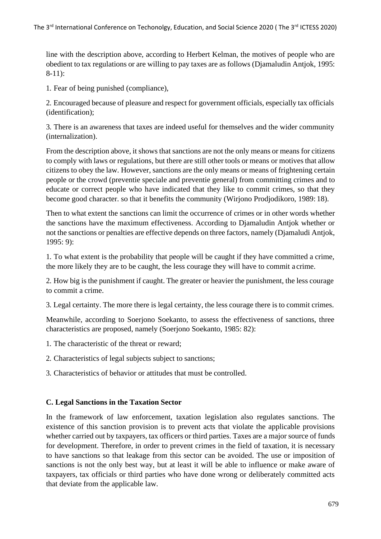line with the description above, according to Herbert Kelman, the motives of people who are obedient to tax regulations or are willing to pay taxes are as follows (Djamaludin Antjok, 1995: 8-11):

1. Fear of being punished (compliance),

2. Encouraged because of pleasure and respect for government officials, especially tax officials (identification);

3. There is an awareness that taxes are indeed useful for themselves and the wider community (internalization).

From the description above, it shows that sanctions are not the only means or means for citizens to comply with laws or regulations, but there are still other tools or means or motives that allow citizens to obey the law. However, sanctions are the only means or means of frightening certain people or the crowd (preventie speciale and preventie general) from committing crimes and to educate or correct people who have indicated that they like to commit crimes, so that they become good character. so that it benefits the community (Wirjono Prodjodikoro, 1989: 18).

Then to what extent the sanctions can limit the occurrence of crimes or in other words whether the sanctions have the maximum effectiveness. According to Djamaludin Antjok whether or not the sanctions or penalties are effective depends on three factors, namely (Djamaludi Antjok, 1995: 9):

1. To what extent is the probability that people will be caught if they have committed a crime, the more likely they are to be caught, the less courage they will have to commit a crime.

2. How big is the punishment if caught. The greater or heavier the punishment, the less courage to commit a crime.

3. Legal certainty. The more there is legal certainty, the less courage there is to commit crimes.

Meanwhile, according to Soerjono Soekanto, to assess the effectiveness of sanctions, three characteristics are proposed, namely (Soerjono Soekanto, 1985: 82):

- 1. The characteristic of the threat or reward;
- 2. Characteristics of legal subjects subject to sanctions;
- 3. Characteristics of behavior or attitudes that must be controlled.

#### **C. Legal Sanctions in the Taxation Sector**

In the framework of law enforcement, taxation legislation also regulates sanctions. The existence of this sanction provision is to prevent acts that violate the applicable provisions whether carried out by taxpayers, tax officers or third parties. Taxes are a major source of funds for development. Therefore, in order to prevent crimes in the field of taxation, it is necessary to have sanctions so that leakage from this sector can be avoided. The use or imposition of sanctions is not the only best way, but at least it will be able to influence or make aware of taxpayers, tax officials or third parties who have done wrong or deliberately committed acts that deviate from the applicable law.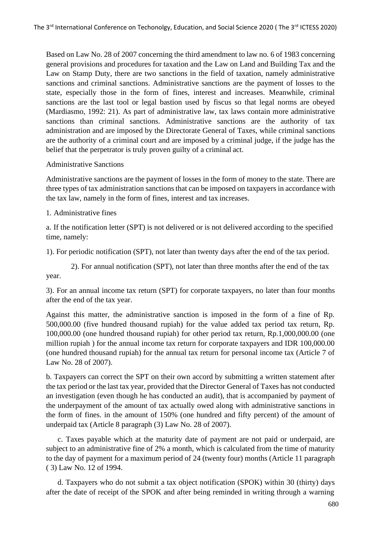Based on Law No. 28 of 2007 concerning the third amendment to law no. 6 of 1983 concerning general provisions and procedures for taxation and the Law on Land and Building Tax and the Law on Stamp Duty, there are two sanctions in the field of taxation, namely administrative sanctions and criminal sanctions. Administrative sanctions are the payment of losses to the state, especially those in the form of fines, interest and increases. Meanwhile, criminal sanctions are the last tool or legal bastion used by fiscus so that legal norms are obeyed (Mardiasmo, 1992: 21). As part of administrative law, tax laws contain more administrative sanctions than criminal sanctions. Administrative sanctions are the authority of tax administration and are imposed by the Directorate General of Taxes, while criminal sanctions are the authority of a criminal court and are imposed by a criminal judge, if the judge has the belief that the perpetrator is truly proven guilty of a criminal act.

#### Administrative Sanctions

Administrative sanctions are the payment of losses in the form of money to the state. There are three types of tax administration sanctions that can be imposed on taxpayers in accordance with the tax law, namely in the form of fines, interest and tax increases.

1. Administrative fines

a. If the notification letter (SPT) is not delivered or is not delivered according to the specified time, namely:

1). For periodic notification (SPT), not later than twenty days after the end of the tax period.

2). For annual notification (SPT), not later than three months after the end of the tax year.

3). For an annual income tax return (SPT) for corporate taxpayers, no later than four months after the end of the tax year.

Against this matter, the administrative sanction is imposed in the form of a fine of Rp. 500,000.00 (five hundred thousand rupiah) for the value added tax period tax return, Rp. 100,000.00 (one hundred thousand rupiah) for other period tax return, Rp.1,000,000.00 (one million rupiah ) for the annual income tax return for corporate taxpayers and IDR 100,000.00 (one hundred thousand rupiah) for the annual tax return for personal income tax (Article 7 of Law No. 28 of 2007).

b. Taxpayers can correct the SPT on their own accord by submitting a written statement after the tax period or the last tax year, provided that the Director General of Taxes has not conducted an investigation (even though he has conducted an audit), that is accompanied by payment of the underpayment of the amount of tax actually owed along with administrative sanctions in the form of fines. in the amount of 150% (one hundred and fifty percent) of the amount of underpaid tax (Article 8 paragraph (3) Law No. 28 of 2007).

c. Taxes payable which at the maturity date of payment are not paid or underpaid, are subject to an administrative fine of 2% a month, which is calculated from the time of maturity to the day of payment for a maximum period of 24 (twenty four) months (Article 11 paragraph ( 3) Law No. 12 of 1994.

d. Taxpayers who do not submit a tax object notification (SPOK) within 30 (thirty) days after the date of receipt of the SPOK and after being reminded in writing through a warning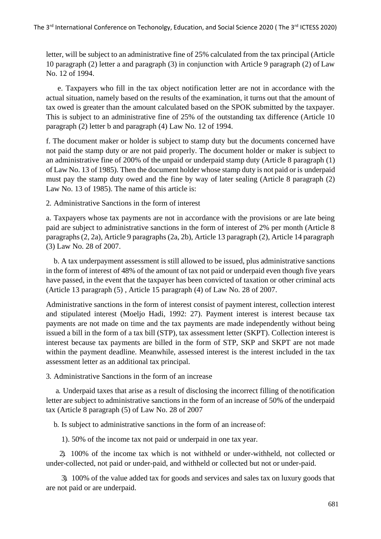letter, will be subject to an administrative fine of 25% calculated from the tax principal (Article 10 paragraph (2) letter a and paragraph (3) in conjunction with Article 9 paragraph (2) of Law No. 12 of 1994.

e. Taxpayers who fill in the tax object notification letter are not in accordance with the actual situation, namely based on the results of the examination, it turns out that the amount of tax owed is greater than the amount calculated based on the SPOK submitted by the taxpayer. This is subject to an administrative fine of 25% of the outstanding tax difference (Article 10 paragraph (2) letter b and paragraph (4) Law No. 12 of 1994.

f. The document maker or holder is subject to stamp duty but the documents concerned have not paid the stamp duty or are not paid properly. The document holder or maker is subject to an administrative fine of 200% of the unpaid or underpaid stamp duty (Article 8 paragraph (1) of Law No. 13 of 1985). Then the document holder whose stamp duty is not paid or is underpaid must pay the stamp duty owed and the fine by way of later sealing (Article 8 paragraph (2) Law No. 13 of 1985). The name of this article is:

2. Administrative Sanctions in the form of interest

a. Taxpayers whose tax payments are not in accordance with the provisions or are late being paid are subject to administrative sanctions in the form of interest of 2% per month (Article 8 paragraphs(2, 2a), Article 9 paragraphs (2a, 2b), Article 13 paragraph (2), Article 14 paragraph (3) Law No. 28 of 2007.

b. A tax underpayment assessment is still allowed to be issued, plus administrative sanctions in the form of interest of 48% of the amount of tax not paid or underpaid even though five years have passed, in the event that the taxpayer has been convicted of taxation or other criminal acts (Article 13 paragraph (5) , Article 15 paragraph (4) of Law No. 28 of 2007.

Administrative sanctions in the form of interest consist of payment interest, collection interest and stipulated interest (Moeljo Hadi, 1992: 27). Payment interest is interest because tax payments are not made on time and the tax payments are made independently without being issued a bill in the form of a tax bill (STP), tax assessment letter (SKPT). Collection interest is interest because tax payments are billed in the form of STP, SKP and SKPT are not made within the payment deadline. Meanwhile, assessed interest is the interest included in the tax assessment letter as an additional tax principal.

3. Administrative Sanctions in the form of an increase

a. Underpaid taxes that arise as a result of disclosing the incorrect filling of thenotification letter are subject to administrative sanctions in the form of an increase of 50% of the underpaid tax (Article 8 paragraph (5) of Law No. 28 of 2007

b. Is subject to administrative sanctions in the form of an increase of:

1). 50% of the income tax not paid or underpaid in one tax year.

2). 100% of the income tax which is not withheld or under-withheld, not collected or under-collected, not paid or under-paid, and withheld or collected but not or under-paid.

3). 100% of the value added tax for goods and services and sales tax on luxury goods that are not paid or are underpaid.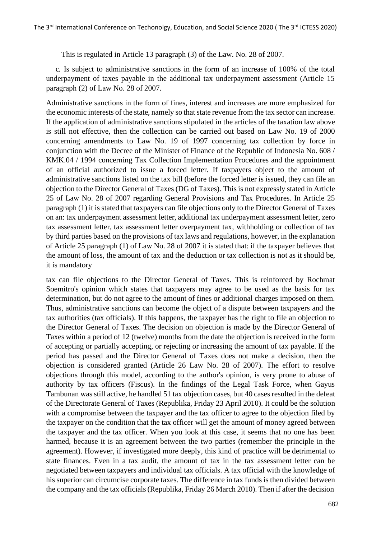This is regulated in Article 13 paragraph (3) of the Law. No. 28 of 2007.

c. Is subject to administrative sanctions in the form of an increase of 100% of the total underpayment of taxes payable in the additional tax underpayment assessment (Article 15 paragraph (2) of Law No. 28 of 2007.

Administrative sanctions in the form of fines, interest and increases are more emphasized for the economic interests of the state, namely so that state revenue from the tax sector can increase. If the application of administrative sanctions stipulated in the articles of the taxation law above is still not effective, then the collection can be carried out based on Law No. 19 of 2000 concerning amendments to Law No. 19 of 1997 concerning tax collection by force in conjunction with the Decree of the Minister of Finance of the Republic of Indonesia No. 608 / KMK.04 / 1994 concerning Tax Collection Implementation Procedures and the appointment of an official authorized to issue a forced letter. If taxpayers object to the amount of administrative sanctions listed on the tax bill (before the forced letter is issued, they can file an objection to the Director General of Taxes(DG of Taxes). Thisis not expressly stated in Article 25 of Law No. 28 of 2007 regarding General Provisions and Tax Procedures. In Article 25 paragraph (1) it is stated that taxpayers can file objections only to the Director General of Taxes on an: tax underpayment assessment letter, additional tax underpayment assessment letter, zero tax assessment letter, tax assessment letter overpayment tax, withholding or collection of tax by third parties based on the provisions of tax laws and regulations, however, in the explanation of Article 25 paragraph (1) of Law No. 28 of 2007 it is stated that: if the taxpayer believes that the amount of loss, the amount of tax and the deduction or tax collection is not as it should be, it is mandatory

tax can file objections to the Director General of Taxes. This is reinforced by Rochmat Soemitro's opinion which states that taxpayers may agree to be used as the basis for tax determination, but do not agree to the amount of fines or additional charges imposed on them. Thus, administrative sanctions can become the object of a dispute between taxpayers and the tax authorities (tax officials). If this happens, the taxpayer has the right to file an objection to the Director General of Taxes. The decision on objection is made by the Director General of Taxes within a period of 12 (twelve) months from the date the objection is received in the form of accepting or partially accepting, or rejecting or increasing the amount of tax payable. If the period has passed and the Director General of Taxes does not make a decision, then the objection is considered granted (Article 26 Law No. 28 of 2007). The effort to resolve objections through this model, according to the author's opinion, is very prone to abuse of authority by tax officers (Fiscus). In the findings of the Legal Task Force, when Gayus Tambunan was still active, he handled 51 tax objection cases, but 40 cases resulted in the defeat of the Directorate General of Taxes (Republika, Friday 23 April 2010). It could be the solution with a compromise between the taxpayer and the tax officer to agree to the objection filed by the taxpayer on the condition that the tax officer will get the amount of money agreed between the taxpayer and the tax officer. When you look at this case, it seems that no one has been harmed, because it is an agreement between the two parties (remember the principle in the agreement). However, if investigated more deeply, this kind of practice will be detrimental to state finances. Even in a tax audit, the amount of tax in the tax assessment letter can be negotiated between taxpayers and individual tax officials. A tax official with the knowledge of his superior can circumcise corporate taxes. The difference in tax funds is then divided between the company and the tax officials(Republika, Friday 26 March 2010). Then if after the decision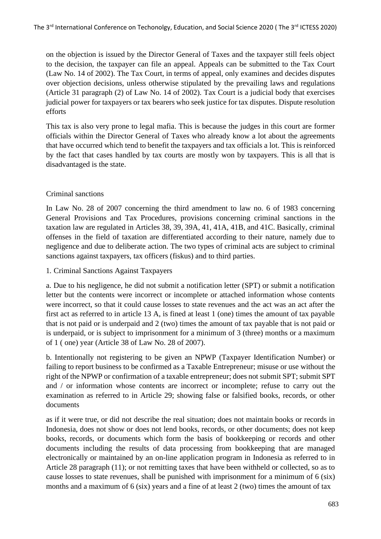on the objection is issued by the Director General of Taxes and the taxpayer still feels object to the decision, the taxpayer can file an appeal. Appeals can be submitted to the Tax Court (Law No. 14 of 2002). The Tax Court, in terms of appeal, only examines and decides disputes over objection decisions, unless otherwise stipulated by the prevailing laws and regulations (Article 31 paragraph (2) of Law No. 14 of 2002). Tax Court is a judicial body that exercises judicial power for taxpayers or tax bearers who seek justice for tax disputes. Dispute resolution efforts

This tax is also very prone to legal mafia. This is because the judges in this court are former officials within the Director General of Taxes who already know a lot about the agreements that have occurred which tend to benefit the taxpayers and tax officials a lot. This is reinforced by the fact that cases handled by tax courts are mostly won by taxpayers. This is all that is disadvantaged is the state.

# Criminal sanctions

In Law No. 28 of 2007 concerning the third amendment to law no. 6 of 1983 concerning General Provisions and Tax Procedures, provisions concerning criminal sanctions in the taxation law are regulated in Articles 38, 39, 39A, 41, 41A, 41B, and 41C. Basically, criminal offenses in the field of taxation are differentiated according to their nature, namely due to negligence and due to deliberate action. The two types of criminal acts are subject to criminal sanctions against taxpayers, tax officers (fiskus) and to third parties.

1. Criminal Sanctions Against Taxpayers

a. Due to his negligence, he did not submit a notification letter (SPT) or submit a notification letter but the contents were incorrect or incomplete or attached information whose contents were incorrect, so that it could cause losses to state revenues and the act was an act after the first act as referred to in article 13 A, is fined at least 1 (one) times the amount of tax payable that is not paid or is underpaid and 2 (two) times the amount of tax payable that is not paid or is underpaid, or is subject to imprisonment for a minimum of 3 (three) months or a maximum of 1 ( one) year (Article 38 of Law No. 28 of 2007).

b. Intentionally not registering to be given an NPWP (Taxpayer Identification Number) or failing to report business to be confirmed as a Taxable Entrepreneur; misuse or use without the right of the NPWP or confirmation of a taxable entrepreneur; does not submit SPT; submit SPT and / or information whose contents are incorrect or incomplete; refuse to carry out the examination as referred to in Article 29; showing false or falsified books, records, or other documents

as if it were true, or did not describe the real situation; does not maintain books or records in Indonesia, does not show or does not lend books, records, or other documents; does not keep books, records, or documents which form the basis of bookkeeping or records and other documents including the results of data processing from bookkeeping that are managed electronically or maintained by an on-line application program in Indonesia as referred to in Article 28 paragraph (11); or not remitting taxes that have been withheld or collected, so as to cause losses to state revenues, shall be punished with imprisonment for a minimum of 6 (six) months and a maximum of 6 (six) years and a fine of at least 2 (two) times the amount of tax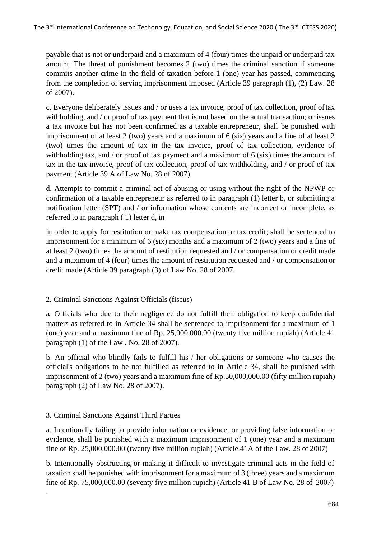payable that is not or underpaid and a maximum of 4 (four) times the unpaid or underpaid tax amount. The threat of punishment becomes 2 (two) times the criminal sanction if someone commits another crime in the field of taxation before 1 (one) year has passed, commencing from the completion of serving imprisonment imposed (Article 39 paragraph (1), (2) Law. 28 of 2007).

c. Everyone deliberately issues and / or uses a tax invoice, proof of tax collection, proof oftax withholding, and / or proof of tax payment that is not based on the actual transaction; or issues a tax invoice but has not been confirmed as a taxable entrepreneur, shall be punished with imprisonment of at least 2 (two) years and a maximum of 6 (six) years and a fine of at least 2 (two) times the amount of tax in the tax invoice, proof of tax collection, evidence of withholding tax, and / or proof of tax payment and a maximum of 6 (six) times the amount of tax in the tax invoice, proof of tax collection, proof of tax withholding, and / or proof of tax payment (Article 39 A of Law No. 28 of 2007).

d. Attempts to commit a criminal act of abusing or using without the right of the NPWP or confirmation of a taxable entrepreneur as referred to in paragraph (1) letter b, or submitting a notification letter (SPT) and / or information whose contents are incorrect or incomplete, as referred to in paragraph ( 1) letter d, in

in order to apply for restitution or make tax compensation or tax credit; shall be sentenced to imprisonment for a minimum of 6 (six) months and a maximum of 2 (two) years and a fine of at least 2 (two) times the amount of restitution requested and / or compensation or credit made and a maximum of 4 (four) times the amount of restitution requested and / or compensation or credit made (Article 39 paragraph (3) of Law No. 28 of 2007.

# 2. Criminal Sanctions Against Officials (fiscus)

a. Officials who due to their negligence do not fulfill their obligation to keep confidential matters as referred to in Article 34 shall be sentenced to imprisonment for a maximum of 1 (one) year and a maximum fine of Rp. 25,000,000.00 (twenty five million rupiah) (Article 41 paragraph (1) of the Law . No. 28 of 2007).

b. An official who blindly fails to fulfill his / her obligations or someone who causes the official's obligations to be not fulfilled as referred to in Article 34, shall be punished with imprisonment of 2 (two) years and a maximum fine of Rp.50,000,000.00 (fifty million rupiah) paragraph (2) of Law No. 28 of 2007).

# 3. Criminal Sanctions Against Third Parties

.

a. Intentionally failing to provide information or evidence, or providing false information or evidence, shall be punished with a maximum imprisonment of 1 (one) year and a maximum fine of Rp. 25,000,000.00 (twenty five million rupiah) (Article 41A of the Law. 28 of 2007)

b. Intentionally obstructing or making it difficult to investigate criminal acts in the field of taxation shall be punished with imprisonment for a maximum of 3 (three) years and a maximum fine of Rp. 75,000,000.00 (seventy five million rupiah) (Article 41 B of Law No. 28 of 2007)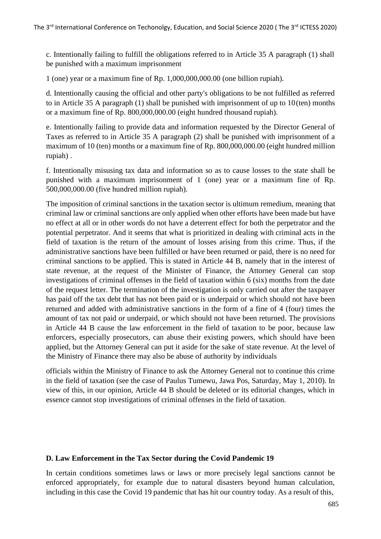c. Intentionally failing to fulfill the obligations referred to in Article 35 A paragraph (1) shall be punished with a maximum imprisonment

1 (one) year or a maximum fine of Rp. 1,000,000,000.00 (one billion rupiah).

d. Intentionally causing the official and other party's obligations to be not fulfilled as referred to in Article 35 A paragraph  $(1)$  shall be punished with imprisonment of up to 10(ten) months or a maximum fine of Rp. 800,000,000.00 (eight hundred thousand rupiah).

e. Intentionally failing to provide data and information requested by the Director General of Taxes as referred to in Article 35 A paragraph (2) shall be punished with imprisonment of a maximum of 10 (ten) months or a maximum fine of Rp. 800,000,000.00 (eight hundred million rupiah) .

f. Intentionally misusing tax data and information so as to cause losses to the state shall be punished with a maximum imprisonment of 1 (one) year or a maximum fine of Rp. 500,000,000.00 (five hundred million rupiah).

The imposition of criminal sanctions in the taxation sector is ultimum remedium, meaning that criminal law or criminal sanctions are only applied when other efforts have been made but have no effect at all or in other words do not have a deterrent effect for both the perpetrator and the potential perpetrator. And it seems that what is prioritized in dealing with criminal acts in the field of taxation is the return of the amount of losses arising from this crime. Thus, if the administrative sanctions have been fulfilled or have been returned or paid, there is no need for criminal sanctions to be applied. This is stated in Article 44 B, namely that in the interest of state revenue, at the request of the Minister of Finance, the Attorney General can stop investigations of criminal offenses in the field of taxation within 6 (six) months from the date of the request letter. The termination of the investigation is only carried out after the taxpayer has paid off the tax debt that has not been paid or is underpaid or which should not have been returned and added with administrative sanctions in the form of a fine of 4 (four) times the amount of tax not paid or underpaid, or which should not have been returned. The provisions in Article 44 B cause the law enforcement in the field of taxation to be poor, because law enforcers, especially prosecutors, can abuse their existing powers, which should have been applied, but the Attorney General can put it aside for the sake of state revenue. At the level of the Ministry of Finance there may also be abuse of authority by individuals

officials within the Ministry of Finance to ask the Attorney General not to continue this crime in the field of taxation (see the case of Paulus Tumewu, Jawa Pos, Saturday, May 1, 2010). In view of this, in our opinion, Article 44 B should be deleted or its editorial changes, which in essence cannot stop investigations of criminal offenses in the field of taxation.

# **D. Law Enforcement in the Tax Sector during the Covid Pandemic 19**

In certain conditions sometimes laws or laws or more precisely legal sanctions cannot be enforced appropriately, for example due to natural disasters beyond human calculation, including in this case the Covid 19 pandemic that has hit our country today. As a result of this,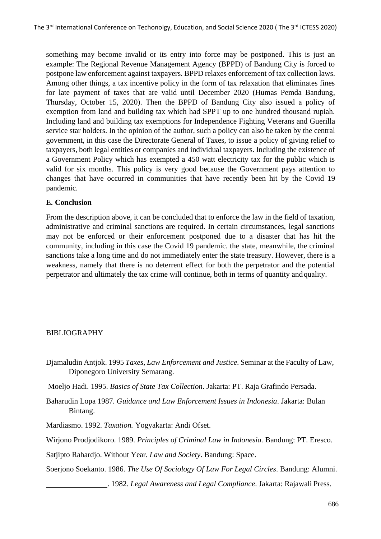something may become invalid or its entry into force may be postponed. This is just an example: The Regional Revenue Management Agency (BPPD) of Bandung City is forced to postpone law enforcement against taxpayers. BPPD relaxes enforcement of tax collection laws. Among other things, a tax incentive policy in the form of tax relaxation that eliminates fines for late payment of taxes that are valid until December 2020 (Humas Pemda Bandung, Thursday, October 15, 2020). Then the BPPD of Bandung City also issued a policy of exemption from land and building tax which had SPPT up to one hundred thousand rupiah. Including land and building tax exemptions for Independence Fighting Veterans and Guerilla service star holders. In the opinion of the author, such a policy can also be taken by the central government, in this case the Directorate General of Taxes, to issue a policy of giving relief to taxpayers, both legal entities or companies and individual taxpayers. Including the existence of a Government Policy which has exempted a 450 watt electricity tax for the public which is valid for six months. This policy is very good because the Government pays attention to changes that have occurred in communities that have recently been hit by the Covid 19 pandemic.

# **E. Conclusion**

From the description above, it can be concluded that to enforce the law in the field of taxation, administrative and criminal sanctions are required. In certain circumstances, legal sanctions may not be enforced or their enforcement postponed due to a disaster that has hit the community, including in this case the Covid 19 pandemic. the state, meanwhile, the criminal sanctions take a long time and do not immediately enter the state treasury. However, there is a weakness, namely that there is no deterrent effect for both the perpetrator and the potential perpetrator and ultimately the tax crime will continue, both in terms of quantity and quality.

# BIBLIOGRAPHY

- Djamaludin Antjok. 1995 *Taxes, Law Enforcement and Justice*. Seminar at the Faculty of Law, Diponegoro University Semarang.
- Moeljo Hadi. 1995. *Basics of State Tax Collection*. Jakarta: PT. Raja Grafindo Persada.
- Baharudin Lopa 1987*. Guidance and Law Enforcement Issues in Indonesia*. Jakarta: Bulan Bintang.
- Mardiasmo. 1992. *Taxation.* Yogyakarta: Andi Ofset.
- Wirjono Prodjodikoro. 1989. *Principles of Criminal Law in Indonesia.* Bandung: PT. Eresco.
- Satjipto Rahardjo. Without Year. *Law and Society*. Bandung: Space.

Soerjono Soekanto. 1986. *The Use Of Sociology Of Law For Legal Circles*. Bandung: Alumni.

. 1982. *Legal Awareness and Legal Compliance*. Jakarta: Rajawali Press.